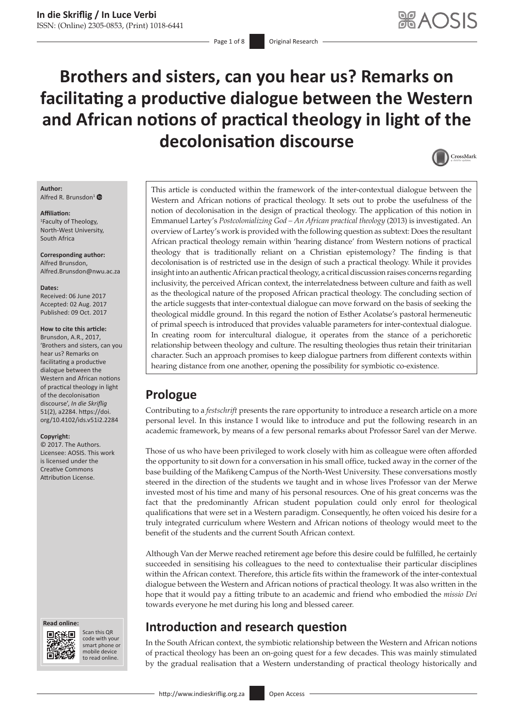# **Brothers and sisters, can you hear us? Remarks on facilitating a productive dialogue between the Western and African notions of practical theology in light of the decolonisation discourse**



#### **Author:** Alfred R. Brunsdon<sup>[1](http://orcid.org/0000-0002-1509-4770)</sup>

#### **Affiliation:**

1 Faculty of Theology, North-West University, South Africa

**Corresponding author:** Alfred Brunsdon, [Alfred.Brunsdon@nwu.ac.za](mailto:Alfred.Brunsdon@nwu.ac.za)

#### **Dates:**

Received: 06 June 2017 Accepted: 02 Aug. 2017 Published: 09 Oct. 2017

#### **How to cite this article:**

Brunsdon, A.R., 2017, 'Brothers and sisters, can you hear us? Remarks on facilitating a productive dialogue between the Western and African notions of practical theology in light of the decolonisation discourse', *In die Skriflig* 51(2), a2284. [https://doi.](https://doi.org/10.4102/ids.v51i2.2284) [org/10.4102/ids.v51i2.2284](https://doi.org/10.4102/ids.v51i2.2284)

#### **Copyright:**

© 2017. The Authors. Licensee: AOSIS. This work is licensed under the Creative Commons Attribution License.

#### **Read online: Read**



Scan this QR code with your Scan this QR<br>code with your<br>smart phone or<br>mobile device mobile device to read online. to read online.

This article is conducted within the framework of the inter-contextual dialogue between the Western and African notions of practical theology. It sets out to probe the usefulness of the notion of decolonisation in the design of practical theology. The application of this notion in Emmanuel Lartey's *Postcolonializing God – An African practical theology* (2013) is investigated. An overview of Lartey's work is provided with the following question as subtext: Does the resultant African practical theology remain within 'hearing distance' from Western notions of practical theology that is traditionally reliant on a Christian epistemology? The finding is that decolonisation is of restricted use in the design of such a practical theology. While it provides insight into an authentic African practical theology, a critical discussion raises concerns regarding inclusivity, the perceived African context, the interrelatedness between culture and faith as well as the theological nature of the proposed African practical theology. The concluding section of the article suggests that inter-contextual dialogue can move forward on the basis of seeking the theological middle ground. In this regard the notion of Esther Acolatse's pastoral hermeneutic of primal speech is introduced that provides valuable parameters for inter-contextual dialogue. In creating room for intercultural dialogue, it operates from the stance of a perichoretic relationship between theology and culture. The resulting theologies thus retain their trinitarian character. Such an approach promises to keep dialogue partners from different contexts within hearing distance from one another, opening the possibility for symbiotic co-existence.

# **Prologue**

Contributing to a *festschrift* presents the rare opportunity to introduce a research article on a more personal level. In this instance I would like to introduce and put the following research in an academic framework, by means of a few personal remarks about Professor Sarel van der Merwe.

Those of us who have been privileged to work closely with him as colleague were often afforded the opportunity to sit down for a conversation in his small office, tucked away in the corner of the base building of the Mafikeng Campus of the North-West University. These conversations mostly steered in the direction of the students we taught and in whose lives Professor van der Merwe invested most of his time and many of his personal resources. One of his great concerns was the fact that the predominantly African student population could only enrol for theological qualifications that were set in a Western paradigm. Consequently, he often voiced his desire for a truly integrated curriculum where Western and African notions of theology would meet to the benefit of the students and the current South African context.

Although Van der Merwe reached retirement age before this desire could be fulfilled, he certainly succeeded in sensitising his colleagues to the need to contextualise their particular disciplines within the African context. Therefore, this article fits within the framework of the inter-contextual dialogue between the Western and African notions of practical theology. It was also written in the hope that it would pay a fitting tribute to an academic and friend who embodied the *missio Dei* towards everyone he met during his long and blessed career.

# **Introduction and research question**

In the South African context, the symbiotic relationship between the Western and African notions of practical theology has been an on-going quest for a few decades. This was mainly stimulated by the gradual realisation that a Western understanding of practical theology historically and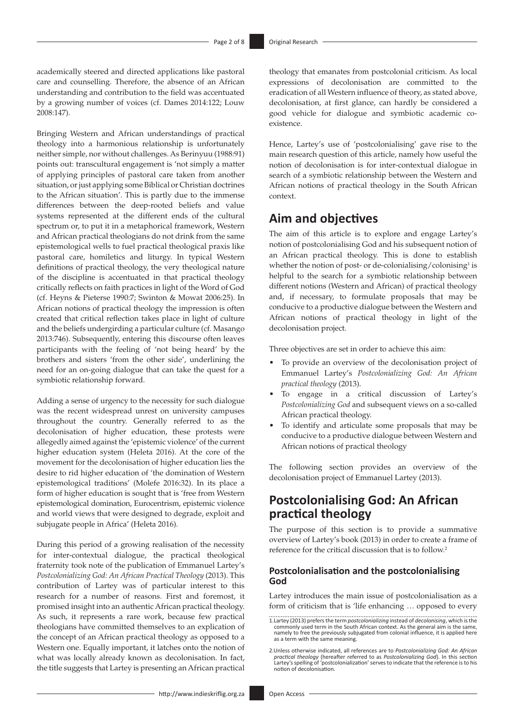academically steered and directed applications like pastoral care and counselling. Therefore, the absence of an African understanding and contribution to the field was accentuated by a growing number of voices (cf. Dames 2014:122; Louw 2008:147).

Bringing Western and African understandings of practical theology into a harmonious relationship is unfortunately neither simple, nor without challenges. As Berinyuu (1988:91) points out: transcultural engagement is 'not simply a matter of applying principles of pastoral care taken from another situation, or just applying some Biblical or Christian doctrines to the African situation'. This is partly due to the immense differences between the deep-rooted beliefs and value systems represented at the different ends of the cultural spectrum or, to put it in a metaphorical framework, Western and African practical theologians do not drink from the same epistemological wells to fuel practical theological praxis like pastoral care, homiletics and liturgy. In typical Western definitions of practical theology, the very theological nature of the discipline is accentuated in that practical theology critically reflects on faith practices in light of the Word of God (cf. Heyns & Pieterse 1990:7; Swinton & Mowat 2006:25). In African notions of practical theology the impression is often created that critical reflection takes place in light of culture and the beliefs undergirding a particular culture (cf. Masango 2013:746). Subsequently, entering this discourse often leaves participants with the feeling of 'not being heard' by the brothers and sisters 'from the other side', underlining the need for an on-going dialogue that can take the quest for a symbiotic relationship forward.

Adding a sense of urgency to the necessity for such dialogue was the recent widespread unrest on university campuses throughout the country. Generally referred to as the decolonisation of higher education, these protests were allegedly aimed against the 'epistemic violence' of the current higher education system (Heleta 2016). At the core of the movement for the decolonisation of higher education lies the desire to rid higher education of 'the domination of Western epistemological traditions' (Molefe 2016:32). In its place a form of higher education is sought that is 'free from Western epistemological domination, Eurocentrism, epistemic violence and world views that were designed to degrade, exploit and subjugate people in Africa' (Heleta 2016).

During this period of a growing realisation of the necessity for inter-contextual dialogue, the practical theological fraternity took note of the publication of Emmanuel Lartey's *Postcolonializing God: An African Practical Theology* (2013). This contribution of Lartey was of particular interest to this research for a number of reasons. First and foremost, it promised insight into an authentic African practical theology. As such, it represents a rare work, because few practical theologians have committed themselves to an explication of the concept of an African practical theology as opposed to a Western one. Equally important, it latches onto the notion of what was locally already known as decolonisation. In fact, the title suggests that Lartey is presenting an African practical

theology that emanates from postcolonial criticism. As local expressions of decolonisation are committed to the eradication of all Western influence of theory, as stated above, decolonisation, at first glance, can hardly be considered a good vehicle for dialogue and symbiotic academic coexistence.

Hence, Lartey's use of 'postcolonialising' gave rise to the main research question of this article, namely how useful the notion of decolonisation is for inter-contextual dialogue in search of a symbiotic relationship between the Western and African notions of practical theology in the South African context.

### **Aim and objectives**

The aim of this article is to explore and engage Lartey's notion of postcolonialising God and his subsequent notion of an African practical theology. This is done to establish whether the notion of post- or de-colonialising/colonising<sup>1</sup> is helpful to the search for a symbiotic relationship between different notions (Western and African) of practical theology and, if necessary, to formulate proposals that may be conducive to a productive dialogue between the Western and African notions of practical theology in light of the decolonisation project.

Three objectives are set in order to achieve this aim:

- To provide an overview of the decolonisation project of Emmanuel Lartey's *Postcolonializing God: An African practical theology* (2013).
- To engage in a critical discussion of Lartey's *Postcolonializing God* and subsequent views on a so-called African practical theology.
- To identify and articulate some proposals that may be conducive to a productive dialogue between Western and African notions of practical theology

The following section provides an overview of the decolonisation project of Emmanuel Lartey (2013).

# **Postcolonialising God: An African practical theology**

The purpose of this section is to provide a summative overview of Lartey's book (2013) in order to create a frame of reference for the critical discussion that is to follow.2

### **Postcolonialisation and the postcolonialising God**

Lartey introduces the main issue of postcolonialisation as a form of criticism that is 'life enhancing … opposed to every

<sup>1.</sup> Lartey (2013) prefers the term *postcolonializing* instead of *decolonising*, which is the commonly used term in the South African context. As the general aim is the same, namely to free the previously subjugated from c

<sup>2.</sup>Unless otherwise indicated, all references are to *Postcolonializing God: An African practical theology* (hereafter referred to as *Postcolonializing God*). In this section Lartey's spelling of 'postcolonialization' serves to indicate that the reference is to his notion of decolonisation.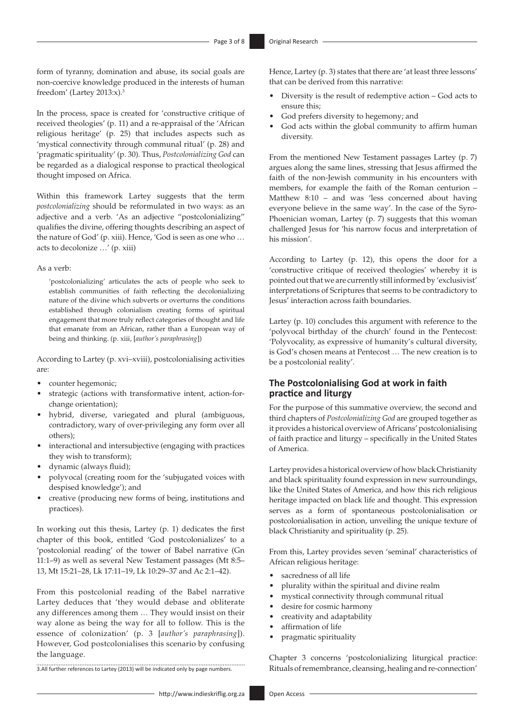form of tyranny, domination and abuse, its social goals are non-coercive knowledge produced in the interests of human freedom' (Lartey 2013:x).3

In the process, space is created for 'constructive critique of received theologies' (p. 11) and a re-appraisal of the 'African religious heritage' (p. 25) that includes aspects such as 'mystical connectivity through communal ritual' (p. 28) and 'pragmatic spirituality' (p. 30). Thus, *Postcolonializing God* can be regarded as a dialogical response to practical theological thought imposed on Africa.

Within this framework Lartey suggests that the term *postcolonializing* should be reformulated in two ways: as an adjective and a verb. 'As an adjective "postcolonializing" qualifies the divine, offering thoughts describing an aspect of the nature of God' (p. xiii). Hence, 'God is seen as one who … acts to decolonize …' (p. xiii)

#### As a verb:

'postcolonializing' articulates the acts of people who seek to establish communities of faith reflecting the decolonializing nature of the divine which subverts or overturns the conditions established through colonialism creating forms of spiritual engagement that more truly reflect categories of thought and life that emanate from an African, rather than a European way of being and thinking. (p. xiii, [*author's paraphrasing*])

According to Lartey (p. xvi–xviii), postcolonialising activities are:

- counter hegemonic;
- strategic (actions with transformative intent, action-forchange orientation);
- hybrid, diverse, variegated and plural (ambiguous, contradictory, wary of over-privileging any form over all others);
- • interactional and intersubjective (engaging with practices they wish to transform);
- • dynamic (always fluid);
- polyvocal (creating room for the 'subjugated voices with despised knowledge'); and
- creative (producing new forms of being, institutions and practices).

In working out this thesis, Lartey (p. 1) dedicates the first chapter of this book, entitled 'God postcolonializes' to a 'postcolonial reading' of the tower of Babel narrative (Gn 11:1–9) as well as several New Testament passages (Mt 8:5– 13, Mt 15:21–28, Lk 17:11–19, Lk 10:29–37 and Ac 2:1–42).

From this postcolonial reading of the Babel narrative Lartey deduces that 'they would debase and obliterate any differences among them … They would insist on their way alone as being the way for all to follow. This is the essence of colonization' (p. 3 [*author's paraphrasing*]). However, God postcolonialises this scenario by confusing the language.

3.All further references to Lartey (2013) will be indicated only by page numbers.

Hence, Lartey (p. 3) states that there are 'at least three lessons' that can be derived from this narrative:

- Diversity is the result of redemptive action God acts to ensure this;
- God prefers diversity to hegemony; and
- God acts within the global community to affirm human diversity.

From the mentioned New Testament passages Lartey (p. 7) argues along the same lines, stressing that Jesus affirmed the faith of the non-Jewish community in his encounters with members, for example the faith of the Roman centurion – Matthew 8:10 – and was 'less concerned about having everyone believe in the same way'. In the case of the Syro-Phoenician woman, Lartey (p. 7) suggests that this woman challenged Jesus for 'his narrow focus and interpretation of his mission'.

According to Lartey (p. 12), this opens the door for a 'constructive critique of received theologies' whereby it is pointed out that we are currently still informed by 'exclusivist' interpretations of Scriptures that seems to be contradictory to Jesus' interaction across faith boundaries.

Lartey (p. 10) concludes this argument with reference to the 'polyvocal birthday of the church' found in the Pentecost: 'Polyvocality, as expressive of humanity's cultural diversity, is God's chosen means at Pentecost … The new creation is to be a postcolonial reality'.

### **The Postcolonialising God at work in faith practice and liturgy**

For the purpose of this summative overview, the second and third chapters of *Postcolonializing God* are grouped together as it provides a historical overview of Africans' postcolonialising of faith practice and liturgy – specifically in the United States of America.

Lartey provides a historical overview of how black Christianity and black spirituality found expression in new surroundings, like the United States of America, and how this rich religious heritage impacted on black life and thought. This expression serves as a form of spontaneous postcolonialisation or postcolonialisation in action, unveiling the unique texture of black Christianity and spirituality (p. 25).

From this, Lartey provides seven 'seminal' characteristics of African religious heritage:

- sacredness of all life
- plurality within the spiritual and divine realm
- mystical connectivity through communal ritual
- desire for cosmic harmony
- creativity and adaptability
- affirmation of life
- pragmatic spirituality

Chapter 3 concerns 'postcolonializing liturgical practice: Rituals of remembrance, cleansing, healing and re-connection'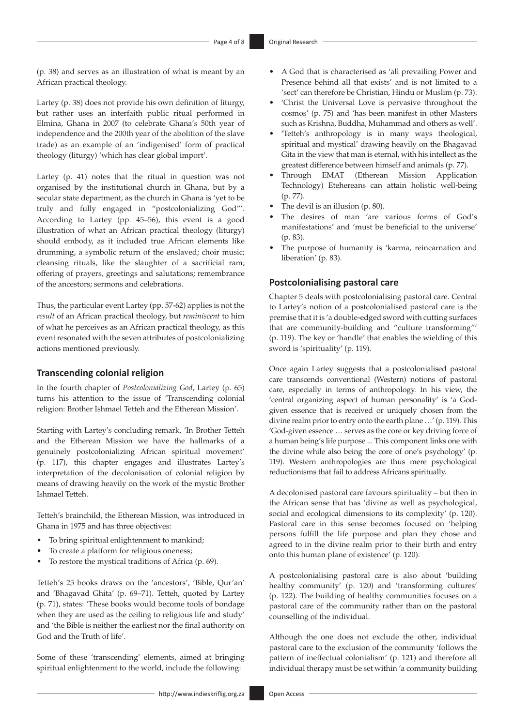(p. 38) and serves as an illustration of what is meant by an African practical theology.

Lartey (p. 38) does not provide his own definition of liturgy, but rather uses an interfaith public ritual performed in Elmina, Ghana in 2007 (to celebrate Ghana's 50th year of independence and the 200th year of the abolition of the slave trade) as an example of an 'indigenised' form of practical theology (liturgy) 'which has clear global import'.

Lartey (p. 41) notes that the ritual in question was not organised by the institutional church in Ghana, but by a secular state department, as the church in Ghana is 'yet to be truly and fully engaged in "postcolonializing God"'. According to Lartey (pp. 45–56), this event is a good illustration of what an African practical theology (liturgy) should embody, as it included true African elements like drumming, a symbolic return of the enslaved; choir music; cleansing rituals, like the slaughter of a sacrificial ram; offering of prayers, greetings and salutations; remembrance of the ancestors; sermons and celebrations.

Thus, the particular event Lartey (pp. 57-62) applies is not the *result* of an African practical theology, but *reminiscent* to him of what he perceives as an African practical theology, as this event resonated with the seven attributes of postcolonializing actions mentioned previously.

#### **Transcending colonial religion**

In the fourth chapter of *Postcolonializing God*, Lartey (p. 65) turns his attention to the issue of 'Transcending colonial religion: Brother Ishmael Tetteh and the Etherean Mission'.

Starting with Lartey's concluding remark, 'In Brother Tetteh and the Etherean Mission we have the hallmarks of a genuinely postcolonializing African spiritual movement' (p. 117), this chapter engages and illustrates Lartey's interpretation of the decolonisation of colonial religion by means of drawing heavily on the work of the mystic Brother Ishmael Tetteh.

Tetteh's brainchild, the Etherean Mission, was introduced in Ghana in 1975 and has three objectives:

- To bring spiritual enlightenment to mankind;
- To create a platform for religious oneness;
- To restore the mystical traditions of Africa (p. 69).

Tetteh's 25 books draws on the 'ancestors', 'Bible, Qur'an' and 'Bhagavad Ghita' (p. 69–71). Tetteh, quoted by Lartey (p. 71), states: 'These books would become tools of bondage when they are used as the ceiling to religious life and study' and 'the Bible is neither the earliest nor the final authority on God and the Truth of life'.

Some of these 'transcending' elements, aimed at bringing spiritual enlightenment to the world, include the following:

- • A God that is characterised as 'all prevailing Power and Presence behind all that exists' and is not limited to a 'sect' can therefore be Christian, Hindu or Muslim (p. 73).
- • 'Christ the Universal Love is pervasive throughout the cosmos' (p. 75) and 'has been manifest in other Masters such as Krishna, Buddha, Muhammad and others as well'.
- 'Tetteh's anthropology is in many ways theological, spiritual and mystical' drawing heavily on the Bhagavad Gita in the view that man is eternal, with his intellect as the greatest difference between himself and animals (p. 77).
- Through EMAT (Etherean Mission Application Technology) Etehereans can attain holistic well-being (p. 77).
- The devil is an illusion (p. 80).
- The desires of man 'are various forms of God's manifestations' and 'must be beneficial to the universe' (p. 83).
- The purpose of humanity is 'karma, reincarnation and liberation' (p. 83).

### **Postcolonialising pastoral care**

Chapter 5 deals with postcolonialising pastoral care. Central to Lartey's notion of a postcolonialised pastoral care is the premise that it is 'a double-edged sword with cutting surfaces that are community-building and "culture transforming"' (p. 119). The key or 'handle' that enables the wielding of this sword is 'spirituality' (p. 119).

Once again Lartey suggests that a postcolonialised pastoral care transcends conventional (Western) notions of pastoral care, especially in terms of anthropology. In his view, the 'central organizing aspect of human personality' is 'a Godgiven essence that is received or uniquely chosen from the divine realm prior to entry onto the earth plane …' (p. 119). This 'God-given essence … serves as the core or key driving force of a human being's life purpose ... This component links one with the divine while also being the core of one's psychology' (p. 119). Western anthropologies are thus mere psychological reductionisms that fail to address Africans spiritually.

A decolonised pastoral care favours spirituality – but then in the African sense that has 'divine as well as psychological, social and ecological dimensions to its complexity' (p. 120). Pastoral care in this sense becomes focused on 'helping persons fulfill the life purpose and plan they chose and agreed to in the divine realm prior to their birth and entry onto this human plane of existence' (p. 120).

A postcolonialising pastoral care is also about 'building healthy community' (p. 120) and 'transforming cultures' (p. 122). The building of healthy communities focuses on a pastoral care of the community rather than on the pastoral counselling of the individual.

Although the one does not exclude the other, individual pastoral care to the exclusion of the community 'follows the pattern of ineffectual colonialism' (p. 121) and therefore all individual therapy must be set within 'a community building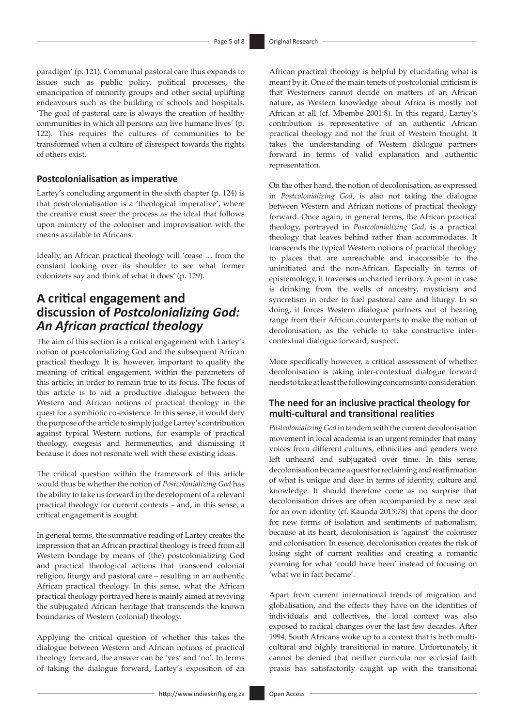paradigm' (p. 121). Communal pastoral care thus expands to issues such as public policy, political processes, the emancipation of minority groups and other social uplifting endeavours such as the building of schools and hospitals. 'The goal of pastoral care is always the creation of healthy communities in which all persons can live humane lives' (p. 122). This requires the cultures of communities to be transformed when a culture of disrespect towards the rights of others exist.

#### **Postcolonialisation as imperative**

Lartey's concluding argument in the sixth chapter (p. 124) is that postcolonialisation is a 'theological imperative', where the creative must steer the process as the ideal that follows upon mimicry of the coloniser and improvisation with the means available to Africans.

Ideally, an African practical theology will 'cease … from the constant looking over its shoulder to see what former colonizers say and think of what it does' (p. 129).

# **A critical engagement and discussion of** *Postcolonializing God: An African practical theology*

The aim of this section is a critical engagement with Lartey's notion of postcolonializing God and the subsequent African practical theology. It is, however, important to qualify the meaning of critical engagement, within the parameters of this article, in order to remain true to its focus. The focus of this article is to aid a productive dialogue between the Western and African notions of practical theology in the quest for a symbiotic co-existence. In this sense, it would defy the purpose of the article to simply judge Lartey's contribution against typical Western notions, for example of practical theology, exegesis and hermeneutics, and dismissing it because it does not resonate well with these existing ideas.

The critical question within the framework of this article would thus be whether the notion of *Postcolonializing God* has the ability to take us forward in the development of a relevant practical theology for current contexts – and, in this sense, a critical engagement is sought.

In general terms, the summative reading of Lartey creates the impression that an African practical theology is freed from all Western bondage by means of (the) postcolonializing God and practical theological actions that transcend colonial religion, liturgy and pastoral care – resulting in an authentic African practical theology. In this sense, what the African practical theology portrayed here is mainly aimed at reviving the subjugated African heritage that transcends the known boundaries of Western (colonial) theology.

Applying the critical question of whether this takes the dialogue between Western and African notions of practical theology forward, the answer can be 'yes' and 'no'. In terms of taking the dialogue forward, Lartey's exposition of an

African practical theology is helpful by elucidating what is meant by it. One of the main tenets of postcolonial criticism is that Westerners cannot decide on matters of an African nature, as Western knowledge about Africa is mostly not African at all (cf. Mbembe 2001:8). In this regard, Lartey's contribution is representative of an authentic African practical theology and not the fruit of Western thought. It takes the understanding of Western dialogue partners forward in terms of valid explanation and authentic representation.

On the other hand, the notion of decolonisation, as expressed in *Postcolonializing God*, is also not taking the dialogue between Western and African notions of practical theology forward. Once again, in general terms, the African practical theology, portrayed in *Postcolonializing God*, is a practical theology that leaves behind rather than accommodates. It transcends the typical Western notions of practical theology to places that are unreachable and inaccessible to the uninitiated and the non-African. Especially in terms of epistemology, it traverses uncharted territory. A point in case is drinking from the wells of ancestry, mysticism and syncretism in order to fuel pastoral care and liturgy. In so doing, it forces Western dialogue partners out of hearing range from their African counterparts to make the notion of decolonisation, as the vehicle to take constructive intercontextual dialogue forward, suspect.

More specifically however, a critical assessment of whether decolonisation is taking inter-contextual dialogue forward needs to take at least the following concerns into consideration.

#### **The need for an inclusive practical theology for multi-cultural and transitional realities**

*Postcolonializing God* in tandem with the current decolonisation movement in local academia is an urgent reminder that many voices from different cultures, ethnicities and genders were left unheard and subjugated over time. In this sense, decolonisation became a quest for reclaiming and reaffirmation of what is unique and dear in terms of identity, culture and knowledge. It should therefore come as no surprise that decolonisation drives are often accompanied by a new zeal for an own identity (cf. Kaunda 2015:78) that opens the door for new forms of isolation and sentiments of nationalism, because at its heart, decolonisation is 'against' the coloniser and colonisation. In essence, decolonisation creates the risk of losing sight of current realities and creating a romantic yearning for what 'could have been' instead of focusing on 'what we in fact became'.

Apart from current international trends of migration and globalisation, and the effects they have on the identities of individuals and collectives, the local context was also exposed to radical changes over the last few decades. After 1994, South Africans woke up to a context that is both multicultural and highly transitional in nature. Unfortunately, it cannot be denied that neither curricula nor ecclesial faith praxis has satisfactorily caught up with the transitional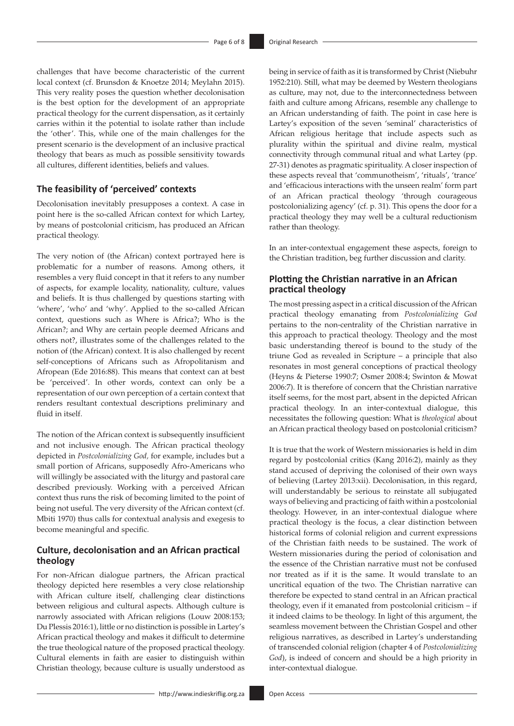challenges that have become characteristic of the current local context (cf. Brunsdon & Knoetze 2014; Meylahn 2015). This very reality poses the question whether decolonisation is the best option for the development of an appropriate practical theology for the current dispensation, as it certainly carries within it the potential to isolate rather than include the 'other'. This, while one of the main challenges for the present scenario is the development of an inclusive practical theology that bears as much as possible sensitivity towards all cultures, different identities, beliefs and values.

### **The feasibility of 'perceived' contexts**

Decolonisation inevitably presupposes a context. A case in point here is the so-called African context for which Lartey, by means of postcolonial criticism, has produced an African practical theology.

The very notion of (the African) context portrayed here is problematic for a number of reasons. Among others, it resembles a very fluid concept in that it refers to any number of aspects, for example locality, nationality, culture, values and beliefs. It is thus challenged by questions starting with 'where', 'who' and 'why'. Applied to the so-called African context, questions such as Where is Africa?; Who is the African?; and Why are certain people deemed Africans and others not?, illustrates some of the challenges related to the notion of (the African) context. It is also challenged by recent self-conceptions of Africans such as Afropolitanism and Afropean (Ede 2016:88). This means that context can at best be 'perceived'. In other words, context can only be a representation of our own perception of a certain context that renders resultant contextual descriptions preliminary and fluid in itself.

The notion of the African context is subsequently insufficient and not inclusive enough. The African practical theology depicted in *Postcolonializing God,* for example, includes but a small portion of Africans, supposedly Afro-Americans who will willingly be associated with the liturgy and pastoral care described previously. Working with a perceived African context thus runs the risk of becoming limited to the point of being not useful. The very diversity of the African context (cf. Mbiti 1970) thus calls for contextual analysis and exegesis to become meaningful and specific.

### **Culture, decolonisation and an African practical theology**

For non-African dialogue partners, the African practical theology depicted here resembles a very close relationship with African culture itself, challenging clear distinctions between religious and cultural aspects. Although culture is narrowly associated with African religions (Louw 2008:153; Du Plessis 2016:1), little or no distinction is possible in Lartey's African practical theology and makes it difficult to determine the true theological nature of the proposed practical theology. Cultural elements in faith are easier to distinguish within Christian theology, because culture is usually understood as

being in service of faith as it is transformed by Christ (Niebuhr 1952:210). Still, what may be deemed by Western theologians as culture, may not, due to the interconnectedness between faith and culture among Africans, resemble any challenge to an African understanding of faith. The point in case here is Lartey's exposition of the seven 'seminal' characteristics of African religious heritage that include aspects such as plurality within the spiritual and divine realm, mystical connectivity through communal ritual and what Lartey (pp. 27-31) denotes as pragmatic spirituality. A closer inspection of these aspects reveal that 'communotheism', 'rituals', 'trance' and 'efficacious interactions with the unseen realm' form part of an African practical theology 'through courageous postcolonializing agency' (cf. p. 31). This opens the door for a practical theology they may well be a cultural reductionism rather than theology.

In an inter-contextual engagement these aspects, foreign to the Christian tradition, beg further discussion and clarity.

### **Plotting the Christian narrative in an African practical theology**

The most pressing aspect in a critical discussion of the African practical theology emanating from *Postcolonializing God* pertains to the non-centrality of the Christian narrative in this approach to practical theology. Theology and the most basic understanding thereof is bound to the study of the triune God as revealed in Scripture – a principle that also resonates in most general conceptions of practical theology (Heyns & Pieterse 1990:7; Osmer 2008:4; Swinton & Mowat 2006:7). It is therefore of concern that the Christian narrative itself seems, for the most part, absent in the depicted African practical theology. In an inter-contextual dialogue, this necessitates the following question: What is *theological* about an African practical theology based on postcolonial criticism?

It is true that the work of Western missionaries is held in dim regard by postcolonial critics (Kang 2016:2), mainly as they stand accused of depriving the colonised of their own ways of believing (Lartey 2013:xii). Decolonisation, in this regard, will understandably be serious to reinstate all subjugated ways of believing and practicing of faith within a postcolonial theology. However, in an inter-contextual dialogue where practical theology is the focus, a clear distinction between historical forms of colonial religion and current expressions of the Christian faith needs to be sustained. The work of Western missionaries during the period of colonisation and the essence of the Christian narrative must not be confused nor treated as if it is the same. It would translate to an uncritical equation of the two. The Christian narrative can therefore be expected to stand central in an African practical theology, even if it emanated from postcolonial criticism – if it indeed claims to be theology. In light of this argument, the seamless movement between the Christian Gospel and other religious narratives, as described in Lartey's understanding of transcended colonial religion (chapter 4 of *Postcolonializing God*), is indeed of concern and should be a high priority in inter-contextual dialogue.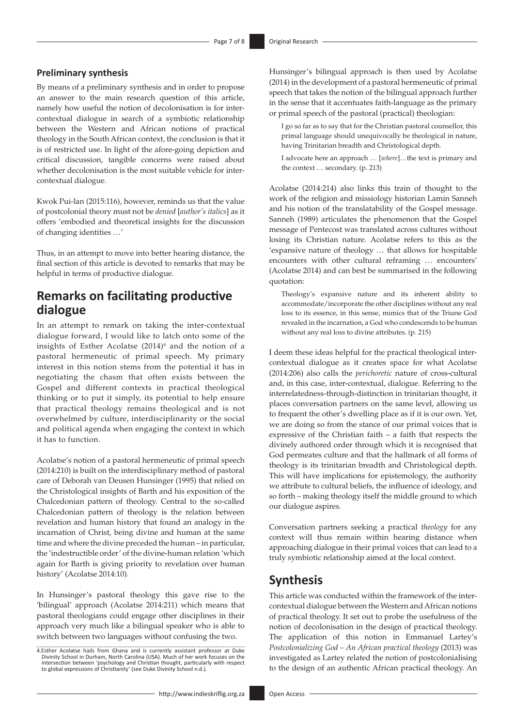### **Preliminary synthesis**

By means of a preliminary synthesis and in order to propose an answer to the main research question of this article, namely how useful the notion of decolonisation is for intercontextual dialogue in search of a symbiotic relationship between the Western and African notions of practical theology in the South African context, the conclusion is that it is of restricted use. In light of the afore-going depiction and critical discussion, tangible concerns were raised about whether decolonisation is the most suitable vehicle for intercontextual dialogue.

Kwok Pui-lan (2015:116), however, reminds us that the value of postcolonial theory must not be *denied* [*author's italics*] as it offers 'embodied and theoretical insights for the discussion of changing identities …'

Thus, in an attempt to move into better hearing distance, the final section of this article is devoted to remarks that may be helpful in terms of productive dialogue.

# **Remarks on facilitating productive dialogue**

In an attempt to remark on taking the inter-contextual dialogue forward, I would like to latch onto some of the insights of Esther Acolatse (2014)4 and the notion of a pastoral hermeneutic of primal speech. My primary interest in this notion stems from the potential it has in negotiating the chasm that often exists between the Gospel and different contexts in practical theological thinking or to put it simply, its potential to help ensure that practical theology remains theological and is not overwhelmed by culture, interdisciplinarity or the social and political agenda when engaging the context in which it has to function.

Acolatse's notion of a pastoral hermeneutic of primal speech (2014:210) is built on the interdisciplinary method of pastoral care of Deborah van Deusen Hunsinger (1995) that relied on the Christological insights of Barth and his exposition of the Chalcedonian pattern of theology. Central to the so-called Chalcedonian pattern of theology is the relation between revelation and human history that found an analogy in the incarnation of Christ, being divine and human at the same time and where the divine preceded the human – in particular, the 'indestructible order' of the divine-human relation 'which again for Barth is giving priority to revelation over human history' (Acolatse 2014:10).

In Hunsinger's pastoral theology this gave rise to the 'bilingual' approach (Acolatse 2014:211) which means that pastoral theologians could engage other disciplines in their approach very much like a bilingual speaker who is able to switch between two languages without confusing the two.

Hunsinger's bilingual approach is then used by Acolatse (2014) in the development of a pastoral hermeneutic of primal speech that takes the notion of the bilingual approach further in the sense that it accentuates faith-language as the primary or primal speech of the pastoral (practical) theologian:

I go so far as to say that for the Christian pastoral counsellor, this primal language should unequivocally be theological in nature, having Trinitarian breadth and Christological depth.

I advocate here an approach … [*where*]…the text is primary and the context … secondary. (p. 213)

Acolatse (2014:214) also links this train of thought to the work of the religion and missiology historian Lamin Sanneh and his notion of the translatability of the Gospel message. Sanneh (1989) articulates the phenomenon that the Gospel message of Pentecost was translated across cultures without losing its Christian nature. Acolatse refers to this as the 'expansive nature of theology … that allows for hospitable encounters with other cultural reframing … encounters' (Acolatse 2014) and can best be summarised in the following quotation:

Theology's expansive nature and its inherent ability to accommodate/incorporate the other disciplines without any real loss to its essence, in this sense, mimics that of the Triune God revealed in the incarnation, a God who condescends to be human without any real loss to divine attributes. (p. 215)

I deem these ideas helpful for the practical theological intercontextual dialogue as it creates space for what Acolatse (2014:206) also calls the *perichoretic* nature of cross-cultural and, in this case, inter-contextual, dialogue. Referring to the interrelatedness-through-distinction in trinitarian thought, it places conversation partners on the same level, allowing us to frequent the other's dwelling place as if it is our own. Yet, we are doing so from the stance of our primal voices that is expressive of the Christian faith – a faith that respects the divinely authored order through which it is recognised that God permeates culture and that the hallmark of all forms of theology is its trinitarian breadth and Christological depth. This will have implications for epistemology, the authority we attribute to cultural beliefs, the influence of ideology, and so forth – making theology itself the middle ground to which our dialogue aspires.

Conversation partners seeking a practical *theology* for any context will thus remain within hearing distance when approaching dialogue in their primal voices that can lead to a truly symbiotic relationship aimed at the local context.

### **Synthesis**

This article was conducted within the framework of the intercontextual dialogue between the Western and African notions of practical theology. It set out to probe the usefulness of the notion of decolonisation in the design of practical theology. The application of this notion in Emmanuel Lartey's Postcolonializing God - An African practical theology (2013) was investigated as Lartey related the notion of postcolonialising to the design of an authentic African practical theology. An

<sup>4.</sup> Esther Acolatse hails from Ghana and is currently assistant professor at Duke<br>Divinity School in Durham, North Carolina (USA). Much of her work focuses on the<br>intersection between 'psychology and Christian thought, part